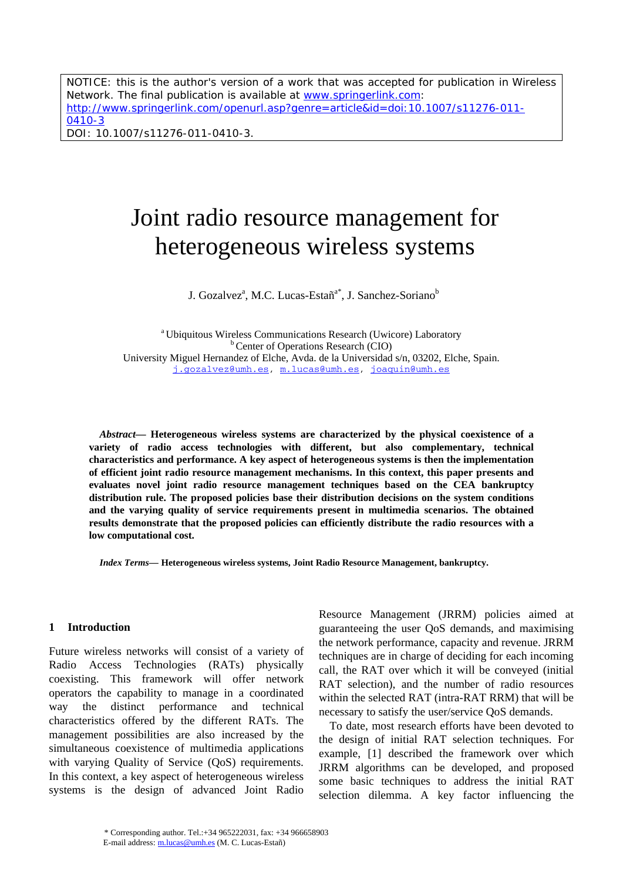NOTICE: this is the author's version of a work that was accepted for publication in Wireless Network. The final publication is available at www.springerlink.com: http://www.springerlink.com/openurl.asp?genre=article&id=doi:10.1007/s11276-011- 0410-3 DOI: 10.1007/s11276-011-0410-3.

# Joint radio resource management for heterogeneous wireless systems

J. Gozalvez<sup>a</sup>, M.C. Lucas-Estañ<sup>a\*</sup>, J. Sanchez-Soriano<sup>b</sup>

<sup>a</sup> Ubiquitous Wireless Communications Research (Uwicore) Laboratory **b** Center of Operations Research (CIO) University Miguel Hernandez of Elche, Avda. de la Universidad s/n, 03202, Elche, Spain. j.gozalvez@umh.es, m.lucas@umh.es, joaquin@umh.es

*Abstract***— Heterogeneous wireless systems are characterized by the physical coexistence of a variety of radio access technologies with different, but also complementary, technical characteristics and performance. A key aspect of heterogeneous systems is then the implementation of efficient joint radio resource management mechanisms. In this context, this paper presents and evaluates novel joint radio resource management techniques based on the CEA bankruptcy distribution rule. The proposed policies base their distribution decisions on the system conditions and the varying quality of service requirements present in multimedia scenarios. The obtained results demonstrate that the proposed policies can efficiently distribute the radio resources with a low computational cost.** 

*Index Terms***— Heterogeneous wireless systems, Joint Radio Resource Management, bankruptcy.** 

## **1 Introduction**

Future wireless networks will consist of a variety of Radio Access Technologies (RATs) physically coexisting. This framework will offer network operators the capability to manage in a coordinated way the distinct performance and technical characteristics offered by the different RATs. The management possibilities are also increased by the simultaneous coexistence of multimedia applications with varying Quality of Service (QoS) requirements. In this context, a key aspect of heterogeneous wireless systems is the design of advanced Joint Radio

Resource Management (JRRM) policies aimed at guaranteeing the user QoS demands, and maximising the network performance, capacity and revenue. JRRM techniques are in charge of deciding for each incoming call, the RAT over which it will be conveyed (initial RAT selection), and the number of radio resources within the selected RAT (intra-RAT RRM) that will be necessary to satisfy the user/service QoS demands.

To date, most research efforts have been devoted to the design of initial RAT selection techniques. For example, [1] described the framework over which JRRM algorithms can be developed, and proposed some basic techniques to address the initial RAT selection dilemma. A key factor influencing the

<sup>\*</sup> Corresponding author. Tel.:+34 965222031, fax: +34 966658903 E-mail address: m.lucas@umh.es (M. C. Lucas-Estañ)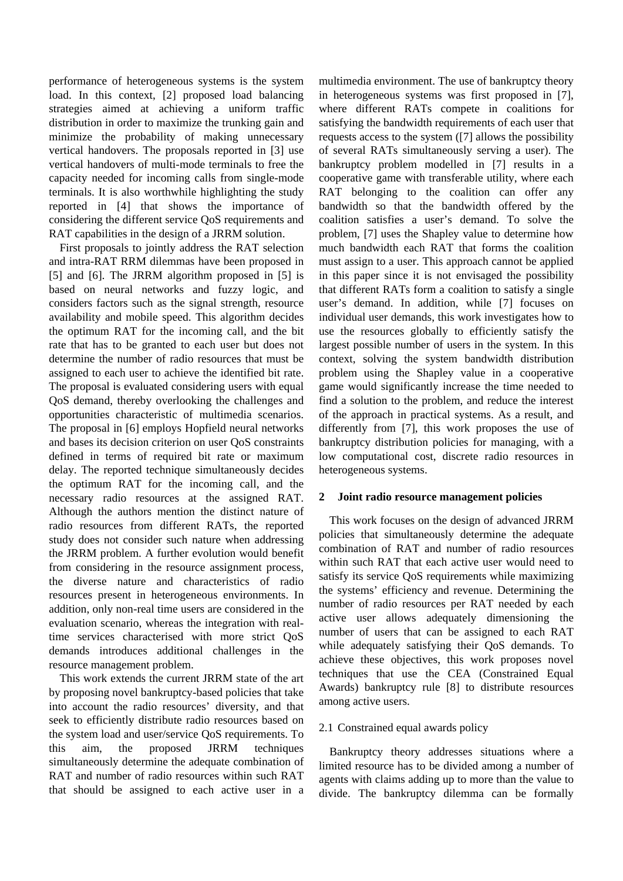performance of heterogeneous systems is the system load. In this context, [2] proposed load balancing strategies aimed at achieving a uniform traffic distribution in order to maximize the trunking gain and minimize the probability of making unnecessary vertical handovers. The proposals reported in [3] use vertical handovers of multi-mode terminals to free the capacity needed for incoming calls from single-mode terminals. It is also worthwhile highlighting the study reported in [4] that shows the importance of considering the different service QoS requirements and RAT capabilities in the design of a JRRM solution.

First proposals to jointly address the RAT selection and intra-RAT RRM dilemmas have been proposed in [5] and [6]. The JRRM algorithm proposed in [5] is based on neural networks and fuzzy logic, and considers factors such as the signal strength, resource availability and mobile speed. This algorithm decides the optimum RAT for the incoming call, and the bit rate that has to be granted to each user but does not determine the number of radio resources that must be assigned to each user to achieve the identified bit rate. The proposal is evaluated considering users with equal QoS demand, thereby overlooking the challenges and opportunities characteristic of multimedia scenarios. The proposal in [6] employs Hopfield neural networks and bases its decision criterion on user QoS constraints defined in terms of required bit rate or maximum delay. The reported technique simultaneously decides the optimum RAT for the incoming call, and the necessary radio resources at the assigned RAT. Although the authors mention the distinct nature of radio resources from different RATs, the reported study does not consider such nature when addressing the JRRM problem. A further evolution would benefit from considering in the resource assignment process, the diverse nature and characteristics of radio resources present in heterogeneous environments. In addition, only non-real time users are considered in the evaluation scenario, whereas the integration with realtime services characterised with more strict QoS demands introduces additional challenges in the resource management problem.

This work extends the current JRRM state of the art by proposing novel bankruptcy-based policies that take into account the radio resources' diversity, and that seek to efficiently distribute radio resources based on the system load and user/service QoS requirements. To this aim, the proposed JRRM techniques simultaneously determine the adequate combination of RAT and number of radio resources within such RAT that should be assigned to each active user in a multimedia environment. The use of bankruptcy theory in heterogeneous systems was first proposed in [7], where different RATs compete in coalitions for satisfying the bandwidth requirements of each user that requests access to the system ([7] allows the possibility of several RATs simultaneously serving a user). The bankruptcy problem modelled in [7] results in a cooperative game with transferable utility, where each RAT belonging to the coalition can offer any bandwidth so that the bandwidth offered by the coalition satisfies a user's demand. To solve the problem, [7] uses the Shapley value to determine how much bandwidth each RAT that forms the coalition must assign to a user. This approach cannot be applied in this paper since it is not envisaged the possibility that different RATs form a coalition to satisfy a single user's demand. In addition, while [7] focuses on individual user demands, this work investigates how to use the resources globally to efficiently satisfy the largest possible number of users in the system. In this context, solving the system bandwidth distribution problem using the Shapley value in a cooperative game would significantly increase the time needed to find a solution to the problem, and reduce the interest of the approach in practical systems. As a result, and differently from [7], this work proposes the use of bankruptcy distribution policies for managing, with a low computational cost, discrete radio resources in heterogeneous systems.

#### **2 Joint radio resource management policies**

This work focuses on the design of advanced JRRM policies that simultaneously determine the adequate combination of RAT and number of radio resources within such RAT that each active user would need to satisfy its service QoS requirements while maximizing the systems' efficiency and revenue. Determining the number of radio resources per RAT needed by each active user allows adequately dimensioning the number of users that can be assigned to each RAT while adequately satisfying their QoS demands. To achieve these objectives, this work proposes novel techniques that use the CEA (Constrained Equal Awards) bankruptcy rule [8] to distribute resources among active users.

#### 2.1 Constrained equal awards policy

Bankruptcy theory addresses situations where a limited resource has to be divided among a number of agents with claims adding up to more than the value to divide. The bankruptcy dilemma can be formally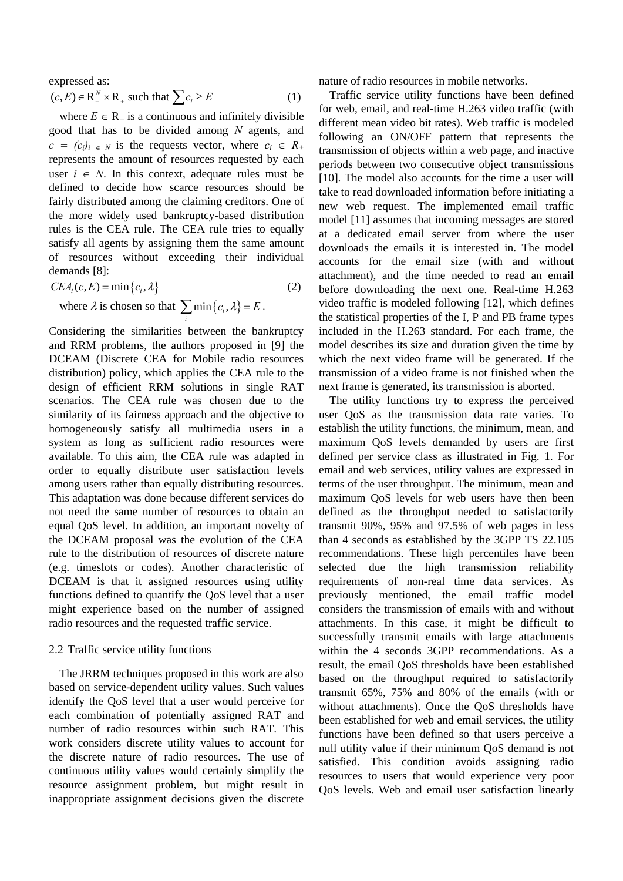expressed as:

$$
(c, E) \in \mathbb{R}^N_+ \times \mathbb{R}_+ \text{ such that } \sum c_i \ge E \tag{1}
$$

where  $E \in \mathbb{R}_+$  is a continuous and infinitely divisible good that has to be divided among *N* agents, and  $c \equiv (c_i)_{i \in N}$  is the requests vector, where  $c_i \in R_+$ represents the amount of resources requested by each user  $i \in N$ . In this context, adequate rules must be defined to decide how scarce resources should be fairly distributed among the claiming creditors. One of the more widely used bankruptcy-based distribution rules is the CEA rule. The CEA rule tries to equally satisfy all agents by assigning them the same amount of resources without exceeding their individual demands [8]:

$$
CEA_i(c, E) = \min\{c_i, \lambda\}
$$
 (2)

where  $\lambda$  is chosen so that  $\sum_{i} \min \{ c_i, \lambda \} = E$ .

Considering the similarities between the bankruptcy and RRM problems, the authors proposed in [9] the DCEAM (Discrete CEA for Mobile radio resources distribution) policy, which applies the CEA rule to the design of efficient RRM solutions in single RAT scenarios. The CEA rule was chosen due to the similarity of its fairness approach and the objective to homogeneously satisfy all multimedia users in a system as long as sufficient radio resources were available. To this aim, the CEA rule was adapted in order to equally distribute user satisfaction levels among users rather than equally distributing resources. This adaptation was done because different services do not need the same number of resources to obtain an equal QoS level. In addition, an important novelty of the DCEAM proposal was the evolution of the CEA rule to the distribution of resources of discrete nature (e.g. timeslots or codes). Another characteristic of DCEAM is that it assigned resources using utility functions defined to quantify the QoS level that a user might experience based on the number of assigned radio resources and the requested traffic service.

#### 2.2 Traffic service utility functions

The JRRM techniques proposed in this work are also based on service-dependent utility values. Such values identify the QoS level that a user would perceive for each combination of potentially assigned RAT and number of radio resources within such RAT. This work considers discrete utility values to account for the discrete nature of radio resources. The use of continuous utility values would certainly simplify the resource assignment problem, but might result in inappropriate assignment decisions given the discrete nature of radio resources in mobile networks.

Traffic service utility functions have been defined for web, email, and real-time H.263 video traffic (with different mean video bit rates). Web traffic is modeled following an ON/OFF pattern that represents the transmission of objects within a web page, and inactive periods between two consecutive object transmissions [10]. The model also accounts for the time a user will take to read downloaded information before initiating a new web request. The implemented email traffic model [11] assumes that incoming messages are stored at a dedicated email server from where the user downloads the emails it is interested in. The model accounts for the email size (with and without attachment), and the time needed to read an email before downloading the next one. Real-time H.263 video traffic is modeled following [12], which defines the statistical properties of the I, P and PB frame types included in the H.263 standard. For each frame, the model describes its size and duration given the time by which the next video frame will be generated. If the transmission of a video frame is not finished when the next frame is generated, its transmission is aborted.

The utility functions try to express the perceived user QoS as the transmission data rate varies. To establish the utility functions, the minimum, mean, and maximum QoS levels demanded by users are first defined per service class as illustrated in Fig. 1. For email and web services, utility values are expressed in terms of the user throughput. The minimum, mean and maximum QoS levels for web users have then been defined as the throughput needed to satisfactorily transmit 90%, 95% and 97.5% of web pages in less than 4 seconds as established by the 3GPP TS 22.105 recommendations. These high percentiles have been selected due the high transmission reliability requirements of non-real time data services. As previously mentioned, the email traffic model considers the transmission of emails with and without attachments. In this case, it might be difficult to successfully transmit emails with large attachments within the 4 seconds 3GPP recommendations. As a result, the email QoS thresholds have been established based on the throughput required to satisfactorily transmit 65%, 75% and 80% of the emails (with or without attachments). Once the QoS thresholds have been established for web and email services, the utility functions have been defined so that users perceive a null utility value if their minimum QoS demand is not satisfied. This condition avoids assigning radio resources to users that would experience very poor QoS levels. Web and email user satisfaction linearly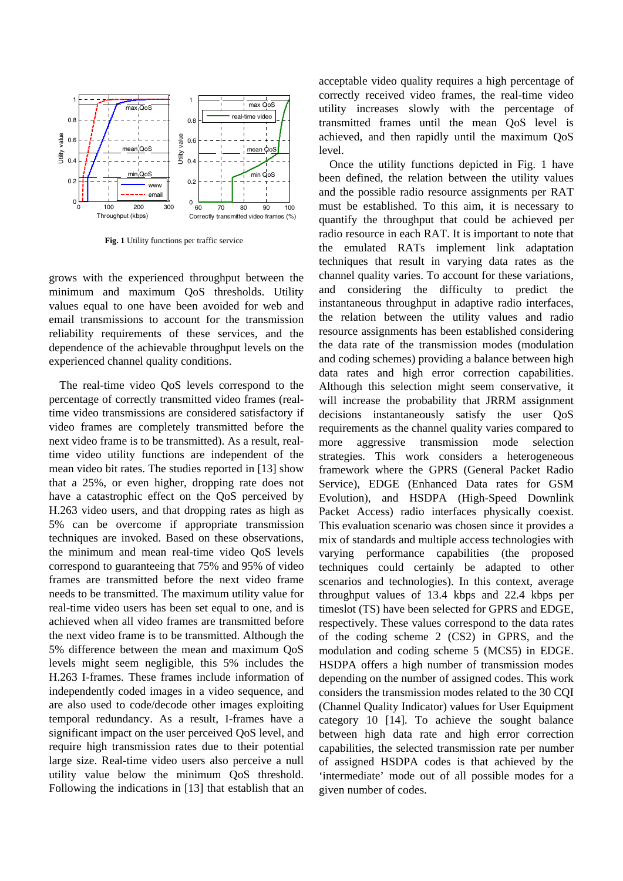

**Fig. 1** Utility functions per traffic service

grows with the experienced throughput between the minimum and maximum QoS thresholds. Utility values equal to one have been avoided for web and email transmissions to account for the transmission reliability requirements of these services, and the dependence of the achievable throughput levels on the experienced channel quality conditions.

The real-time video QoS levels correspond to the percentage of correctly transmitted video frames (realtime video transmissions are considered satisfactory if video frames are completely transmitted before the next video frame is to be transmitted). As a result, realtime video utility functions are independent of the mean video bit rates. The studies reported in [13] show that a 25%, or even higher, dropping rate does not have a catastrophic effect on the QoS perceived by H.263 video users, and that dropping rates as high as 5% can be overcome if appropriate transmission techniques are invoked. Based on these observations, the minimum and mean real-time video QoS levels correspond to guaranteeing that 75% and 95% of video frames are transmitted before the next video frame needs to be transmitted. The maximum utility value for real-time video users has been set equal to one, and is achieved when all video frames are transmitted before the next video frame is to be transmitted. Although the 5% difference between the mean and maximum QoS levels might seem negligible, this 5% includes the H.263 I-frames. These frames include information of independently coded images in a video sequence, and are also used to code/decode other images exploiting temporal redundancy. As a result, I-frames have a significant impact on the user perceived QoS level, and require high transmission rates due to their potential large size. Real-time video users also perceive a null utility value below the minimum QoS threshold. Following the indications in [13] that establish that an acceptable video quality requires a high percentage of correctly received video frames, the real-time video utility increases slowly with the percentage of transmitted frames until the mean QoS level is achieved, and then rapidly until the maximum QoS level.

Once the utility functions depicted in Fig. 1 have been defined, the relation between the utility values and the possible radio resource assignments per RAT must be established. To this aim, it is necessary to quantify the throughput that could be achieved per radio resource in each RAT. It is important to note that the emulated RATs implement link adaptation techniques that result in varying data rates as the channel quality varies. To account for these variations, and considering the difficulty to predict the instantaneous throughput in adaptive radio interfaces, the relation between the utility values and radio resource assignments has been established considering the data rate of the transmission modes (modulation and coding schemes) providing a balance between high data rates and high error correction capabilities. Although this selection might seem conservative, it will increase the probability that JRRM assignment decisions instantaneously satisfy the user QoS requirements as the channel quality varies compared to more aggressive transmission mode selection strategies. This work considers a heterogeneous framework where the GPRS (General Packet Radio Service), EDGE (Enhanced Data rates for GSM Evolution), and HSDPA (High-Speed Downlink Packet Access) radio interfaces physically coexist. This evaluation scenario was chosen since it provides a mix of standards and multiple access technologies with varying performance capabilities (the proposed techniques could certainly be adapted to other scenarios and technologies). In this context, average throughput values of 13.4 kbps and 22.4 kbps per timeslot (TS) have been selected for GPRS and EDGE, respectively. These values correspond to the data rates of the coding scheme 2 (CS2) in GPRS, and the modulation and coding scheme 5 (MCS5) in EDGE. HSDPA offers a high number of transmission modes depending on the number of assigned codes. This work considers the transmission modes related to the 30 CQI (Channel Quality Indicator) values for User Equipment category 10 [14]. To achieve the sought balance between high data rate and high error correction capabilities, the selected transmission rate per number of assigned HSDPA codes is that achieved by the 'intermediate' mode out of all possible modes for a given number of codes.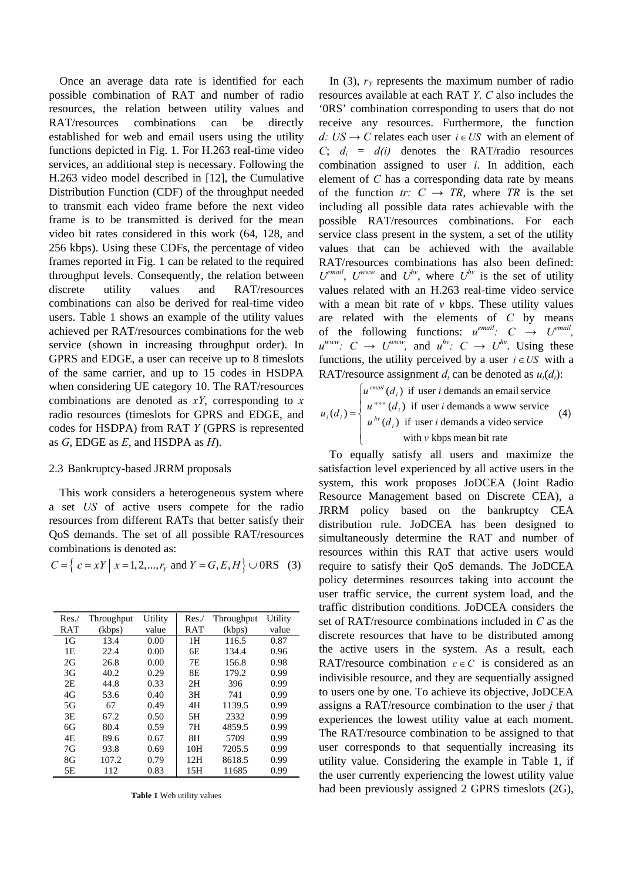Once an average data rate is identified for each possible combination of RAT and number of radio resources, the relation between utility values and RAT/resources combinations can be directly established for web and email users using the utility functions depicted in Fig. 1. For H.263 real-time video services, an additional step is necessary. Following the H.263 video model described in [12], the Cumulative Distribution Function (CDF) of the throughput needed to transmit each video frame before the next video frame is to be transmitted is derived for the mean video bit rates considered in this work (64, 128, and 256 kbps). Using these CDFs, the percentage of video frames reported in Fig. 1 can be related to the required throughput levels. Consequently, the relation between discrete utility values and RAT/resources combinations can also be derived for real-time video users. Table 1 shows an example of the utility values achieved per RAT/resources combinations for the web service (shown in increasing throughput order). In GPRS and EDGE, a user can receive up to 8 timeslots of the same carrier, and up to 15 codes in HSDPA when considering UE category 10. The RAT/resources combinations are denoted as *xY*, corresponding to *x* radio resources (timeslots for GPRS and EDGE, and codes for HSDPA) from RAT *Y* (GPRS is represented as *G*, EDGE as *E*, and HSDPA as *H*).

#### 2.3 Bankruptcy-based JRRM proposals

This work considers a heterogeneous system where a set *US* of active users compete for the radio resources from different RATs that better satisfy their QoS demands. The set of all possible RAT/resources combinations is denoted as:

 $C = \{c = xY \mid x = 1, 2, ..., r_y \text{ and } Y = G, E, H\} \cup \text{ORS}$  (3)

| Res. | Throughput | Utility | Res. | Throughput | Utility |
|------|------------|---------|------|------------|---------|
| RAT  | (kbps)     | value   | RAT  | (kbps)     | value   |
| 1G   | 13.4       | 0.00    | 1H   | 116.5      | 0.87    |
| 1E   | 22.4       | 0.00    | 6E   | 134.4      | 0.96    |
| 2G   | 26.8       | 0.00    | 7E   | 156.8      | 0.98    |
| 3G   | 40.2       | 0.29    | 8E   | 179.2      | 0.99    |
| 2E   | 44.8       | 0.33    | 2H   | 396        | 0.99    |
| 4G   | 53.6       | 0.40    | 3H   | 741        | 0.99    |
| 5G   | 67         | 0.49    | 4H   | 1139.5     | 0.99    |
| 3E   | 67.2       | 0.50    | 5H   | 2332       | 0.99    |
| 6G   | 80.4       | 0.59    | 7H   | 4859.5     | 0.99    |
| 4E   | 89.6       | 0.67    | 8H   | 5709       | 0.99    |
| 7G   | 93.8       | 0.69    | 10H  | 7205.5     | 0.99    |
| 8G   | 107.2      | 0.79    | 12H  | 8618.5     | 0.99    |
| 5Ε   | 112        | 0.83    | 15H  | 11685      | 0.99    |

| <b>Table 1</b> Web utility values |  |  |  |
|-----------------------------------|--|--|--|
|-----------------------------------|--|--|--|

In  $(3)$ ,  $r_Y$  represents the maximum number of radio resources available at each RAT *Y*. *C* also includes the '0RS' combination corresponding to users that do not receive any resources. Furthermore, the function *d: US* → *C* relates each user  $i ∈ US$  with an element of  $C$ ;  $d_i = d(i)$  denotes the RAT/radio resources combination assigned to user *i*. In addition, each element of *C* has a corresponding data rate by means of the function  $tr: C \rightarrow TR$ , where  $TR$  is the set including all possible data rates achievable with the possible RAT/resources combinations. For each service class present in the system, a set of the utility values that can be achieved with the available RAT/resources combinations has also been defined:  $U^{email}$ ,  $U^{www}$  and  $U^{hv}$ , where  $U^{hv}$  is the set of utility values related with an H.263 real-time video service with a mean bit rate of  $\nu$  kbps. These utility values are related with the elements of *C* by means of the following functions:  $u^{email}$ :  $C \rightarrow U^{email}$ ,  $u^{www}$ :  $C \rightarrow U^{www}$ , and  $u^{hv}$ :  $C \rightarrow U^{hv}$ . Using these functions, the utility perceived by a user  $i \in US$  with a RAT/resource assignment  $d_i$  can be denoted as  $u_i(d_i)$ :

 $\overline{ }$  $\overline{\phantom{a}}$  $\overline{\mathfrak{c}}$  $\overline{\phantom{a}}$  $=\{$  $\left[ u^{email}(d_i) \right]$  if user *i* demands an email service with  $\nu$  kbps mean bit rate  $(d_i)$  if user i demands a video service  $(d_i) = \begin{cases} u^{\text{www}}(d_i) & \text{if user } i \text{ demands a www service}) \\ u^{\text{two}}(d_i) & \text{if } i \text{ is a unit of } i \end{cases}$  $u^{hv}(d_i)$  if user *i*  $u_i(d_i) = \begin{cases} u^{www}(d_i) & \text{if user } i \end{cases}$ *i hv*  $\begin{pmatrix} a_i \\ d_i \end{pmatrix}$  $\hat{u}_i(d_i) = \begin{cases} u_i^2 + u_i^2 u_i^2 + u_i^2 u_i^2 + u_i^2 u_i^2 + u_i^2 u_i^2 + u_i^2 u_i^2 + u_i^2 u_i^2 + u_i^2 u_i^2 + u_i^2 u_i^2 + u_i^2 u_i^2 + u_i^2 u_i^2 + u_i^2 u_i^2 + u_i^2 u_i^2 + u_i^2 u_i^2 + u_i^2 u_i^2 + u_i^2 u_i^2 + u_i^2 u_i^2 + u_i^2 u_i^2 + u_i^2 u_i^2 + u_i^2 u_i^2 + u_i^2 u_i^2 + u_i^2 u_i^2 + u_i^2 u_i^2 + u_i$ 

To equally satisfy all users and maximize the satisfaction level experienced by all active users in the system, this work proposes JoDCEA (Joint Radio Resource Management based on Discrete CEA), a JRRM policy based on the bankruptcy CEA distribution rule. JoDCEA has been designed to simultaneously determine the RAT and number of resources within this RAT that active users would require to satisfy their QoS demands. The JoDCEA policy determines resources taking into account the user traffic service, the current system load, and the traffic distribution conditions. JoDCEA considers the set of RAT/resource combinations included in *C* as the discrete resources that have to be distributed among the active users in the system. As a result, each RAT/resource combination  $c \in C$  is considered as an indivisible resource, and they are sequentially assigned to users one by one. To achieve its objective, JoDCEA assigns a RAT/resource combination to the user *j* that experiences the lowest utility value at each moment. The RAT/resource combination to be assigned to that user corresponds to that sequentially increasing its utility value. Considering the example in Table 1, if the user currently experiencing the lowest utility value had been previously assigned 2 GPRS timeslots (2G),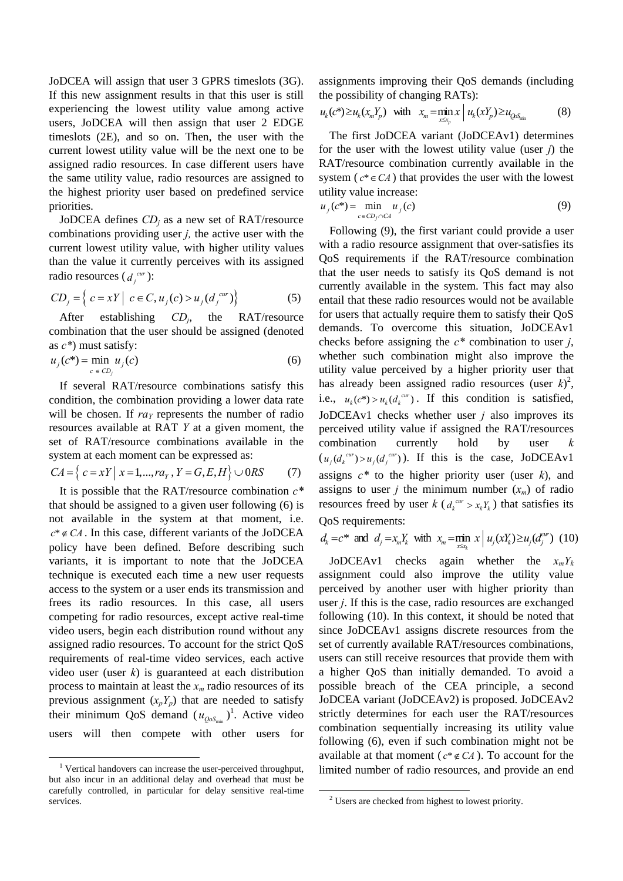JoDCEA will assign that user 3 GPRS timeslots (3G). If this new assignment results in that this user is still experiencing the lowest utility value among active users, JoDCEA will then assign that user 2 EDGE timeslots (2E), and so on. Then, the user with the current lowest utility value will be the next one to be assigned radio resources. In case different users have the same utility value, radio resources are assigned to the highest priority user based on predefined service priorities.

JoDCEA defines *CDj* as a new set of RAT/resource combinations providing user *j,* the active user with the current lowest utility value, with higher utility values than the value it currently perceives with its assigned radio resources  $(d_i^{cur})$ :

$$
CD_j = \left\{ c = xY \mid c \in C, u_j(c) > u_j(d_j^{cur}) \right\}
$$
 (5)

After establishing *CDj*, the RAT/resource combination that the user should be assigned (denoted as *c\**) must satisfy:

$$
u_j(c^*) = \min_{c \in CD_j} u_j(c)
$$
 (6)

If several RAT/resource combinations satisfy this condition, the combination providing a lower data rate will be chosen. If  $r a<sub>y</sub>$  represents the number of radio resources available at RAT *Y* at a given moment, the set of RAT/resource combinations available in the system at each moment can be expressed as:

$$
CA = \left\{ c = xY \mid x = 1, ..., ra_Y, Y = G, E, H \right\} \cup 0RS \tag{7}
$$

It is possible that the RAT/resource combination *c\** that should be assigned to a given user following (6) is not available in the system at that moment, i.e. *c*\*∉*CA* . In this case, different variants of the JoDCEA policy have been defined. Before describing such variants, it is important to note that the JoDCEA technique is executed each time a new user requests access to the system or a user ends its transmission and frees its radio resources. In this case, all users competing for radio resources, except active real-time video users, begin each distribution round without any assigned radio resources. To account for the strict QoS requirements of real-time video services, each active video user (user *k*) is guaranteed at each distribution process to maintain at least the  $x_m$  radio resources of its previous assignment  $(x_p Y_p)$  that are needed to satisfy their minimum QoS demand  $(u_{\varrho_{oS_{\min}}})^1$ . Active video users will then compete with other users for

assignments improving their QoS demands (including the possibility of changing RATs):

$$
u_k(c^*) \ge u_k(x_m Y_p) \quad \text{with} \quad x_m = \min_{x \le x_p} x \left| u_k(x Y_p) \ge u_{Q \circ S_{\min}} \right| \tag{8}
$$

The first JoDCEA variant (JoDCEAv1) determines for the user with the lowest utility value (user *j*) the RAT/resource combination currently available in the system ( $c^* \in CA$ ) that provides the user with the lowest utility value increase:

$$
u_j(c^*) = \min_{c \in CD_j \cap CA} u_j(c) \tag{9}
$$

Following (9), the first variant could provide a user with a radio resource assignment that over-satisfies its QoS requirements if the RAT/resource combination that the user needs to satisfy its QoS demand is not currently available in the system. This fact may also entail that these radio resources would not be available for users that actually require them to satisfy their QoS demands. To overcome this situation, JoDCEAv1 checks before assigning the *c\** combination to user *j*, whether such combination might also improve the utility value perceived by a higher priority user that has already been assigned radio resources (user  $k$ )<sup>2</sup>, i.e.,  $u_k(c^*) > u_k(d_k^{cur})$ . If this condition is satisfied, JoDCEAv1 checks whether user *j* also improves its perceived utility value if assigned the RAT/resources combination currently hold by user *k*  $(u_i(d_k^{cur})>u_j(d_j^{cur})$ ). If this is the case, JoDCEAv1 assigns *c\** to the higher priority user (user *k*), and assigns to user *j* the minimum number  $(x_m)$  of radio resources freed by user  $k$  ( $d_k^{cur} > x_k Y_k$ ) that satisfies its QoS requirements:

\* and  $d_j = x_m Y_k$  with  $x_m = \min_{x \le x_k} x \mid u_j(xY_k) \ge u_j(d_j^{cur})$  $d_k = c^*$  and  $d_j = x_m Y_k$  with  $x_m = \min_{x \le x_k} x \mid u_j(xY_k) \ge u_j(d_j^{av})$  (10)

JoDCEAv1 checks again whether the  $x_m Y_k$ assignment could also improve the utility value perceived by another user with higher priority than user *j*. If this is the case, radio resources are exchanged following (10). In this context, it should be noted that since JoDCEAv1 assigns discrete resources from the set of currently available RAT/resources combinations, users can still receive resources that provide them with a higher QoS than initially demanded. To avoid a possible breach of the CEA principle, a second JoDCEA variant (JoDCEAv2) is proposed. JoDCEAv2 strictly determines for each user the RAT/resources combination sequentially increasing its utility value following (6), even if such combination might not be available at that moment ( $c^* \notin CA$ ). To account for the limited number of radio resources, and provide an end

 $\frac{1}{1}$ <sup>1</sup> Vertical handovers can increase the user-perceived throughput, but also incur in an additional delay and overhead that must be carefully controlled, in particular for delay sensitive real-time services.

 <sup>2</sup> Users are checked from highest to lowest priority.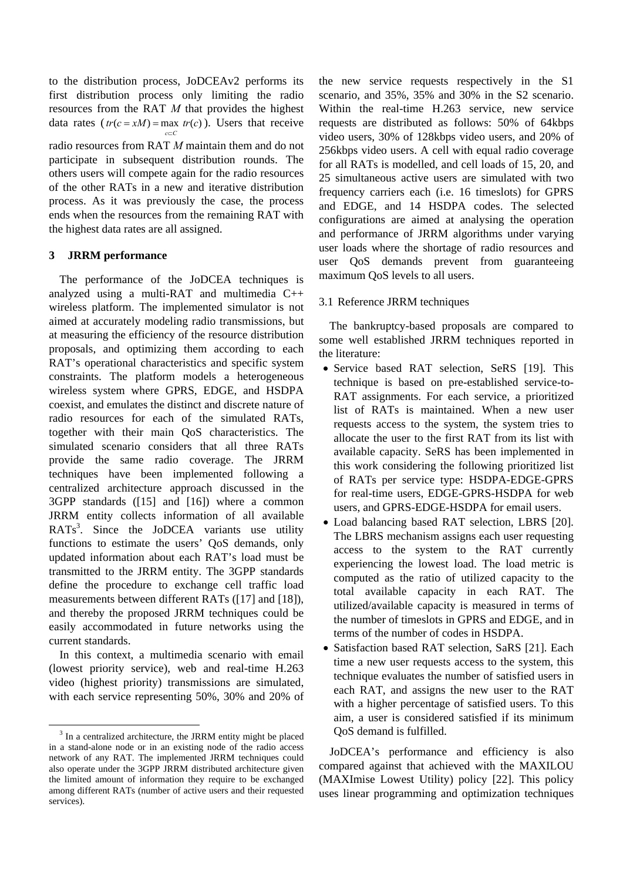to the distribution process, JoDCEAv2 performs its first distribution process only limiting the radio resources from the RAT *M* that provides the highest data rates  $(tr(c = xM) = max \ tr(c))$ . Users that receive *c*⊂*C* radio resources from RAT *M* maintain them and do not participate in subsequent distribution rounds. The others users will compete again for the radio resources of the other RATs in a new and iterative distribution process. As it was previously the case, the process ends when the resources from the remaining RAT with the highest data rates are all assigned.

## **3 JRRM performance**

The performance of the JoDCEA techniques is analyzed using a multi-RAT and multimedia C++ wireless platform. The implemented simulator is not aimed at accurately modeling radio transmissions, but at measuring the efficiency of the resource distribution proposals, and optimizing them according to each RAT's operational characteristics and specific system constraints. The platform models a heterogeneous wireless system where GPRS, EDGE, and HSDPA coexist, and emulates the distinct and discrete nature of radio resources for each of the simulated RATs, together with their main QoS characteristics. The simulated scenario considers that all three RATs provide the same radio coverage. The JRRM techniques have been implemented following a centralized architecture approach discussed in the 3GPP standards ([15] and [16]) where a common JRRM entity collects information of all available  $RATs<sup>3</sup>$ . Since the JoDCEA variants use utility functions to estimate the users' QoS demands, only updated information about each RAT's load must be transmitted to the JRRM entity. The 3GPP standards define the procedure to exchange cell traffic load measurements between different RATs ([17] and [18]), and thereby the proposed JRRM techniques could be easily accommodated in future networks using the current standards.

In this context, a multimedia scenario with email (lowest priority service), web and real-time H.263 video (highest priority) transmissions are simulated, with each service representing 50%, 30% and 20% of the new service requests respectively in the S1 scenario, and 35%, 35% and 30% in the S2 scenario. Within the real-time H.263 service, new service requests are distributed as follows: 50% of 64kbps video users, 30% of 128kbps video users, and 20% of 256kbps video users. A cell with equal radio coverage for all RATs is modelled, and cell loads of 15, 20, and 25 simultaneous active users are simulated with two frequency carriers each (i.e. 16 timeslots) for GPRS and EDGE, and 14 HSDPA codes. The selected configurations are aimed at analysing the operation and performance of JRRM algorithms under varying user loads where the shortage of radio resources and user QoS demands prevent from guaranteeing maximum QoS levels to all users.

## 3.1 Reference JRRM techniques

The bankruptcy-based proposals are compared to some well established JRRM techniques reported in the literature:

- Service based RAT selection, SeRS [19]. This technique is based on pre-established service-to-RAT assignments. For each service, a prioritized list of RATs is maintained. When a new user requests access to the system, the system tries to allocate the user to the first RAT from its list with available capacity. SeRS has been implemented in this work considering the following prioritized list of RATs per service type: HSDPA-EDGE-GPRS for real-time users, EDGE-GPRS-HSDPA for web users, and GPRS-EDGE-HSDPA for email users.
- Load balancing based RAT selection, LBRS [20]. The LBRS mechanism assigns each user requesting access to the system to the RAT currently experiencing the lowest load. The load metric is computed as the ratio of utilized capacity to the total available capacity in each RAT. The utilized/available capacity is measured in terms of the number of timeslots in GPRS and EDGE, and in terms of the number of codes in HSDPA.
- Satisfaction based RAT selection, SaRS [21]. Each time a new user requests access to the system, this technique evaluates the number of satisfied users in each RAT, and assigns the new user to the RAT with a higher percentage of satisfied users. To this aim, a user is considered satisfied if its minimum QoS demand is fulfilled.

JoDCEA's performance and efficiency is also compared against that achieved with the MAXILOU (MAXImise Lowest Utility) policy [22]. This policy uses linear programming and optimization techniques

 $\frac{1}{3}$  $3$  In a centralized architecture, the JRRM entity might be placed in a stand-alone node or in an existing node of the radio access network of any RAT. The implemented JRRM techniques could also operate under the 3GPP JRRM distributed architecture given the limited amount of information they require to be exchanged among different RATs (number of active users and their requested services).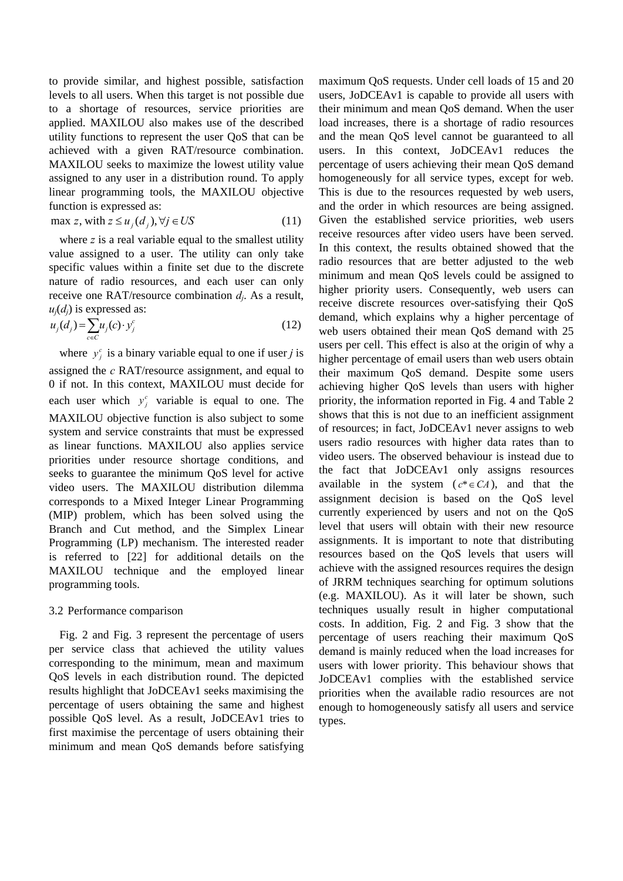to provide similar, and highest possible, satisfaction levels to all users. When this target is not possible due to a shortage of resources, service priorities are applied. MAXILOU also makes use of the described utility functions to represent the user QoS that can be achieved with a given RAT/resource combination. MAXILOU seeks to maximize the lowest utility value assigned to any user in a distribution round. To apply linear programming tools, the MAXILOU objective function is expressed as:

$$
\max z, \text{ with } z \le u_j(d_j), \forall j \in US \tag{11}
$$

where *z* is a real variable equal to the smallest utility value assigned to a user. The utility can only take specific values within a finite set due to the discrete nature of radio resources, and each user can only receive one RAT/resource combination *dj*. As a result,  $u_i(d_i)$  is expressed as:

$$
u_j(d_j) = \sum_{c \in C} u_j(c) \cdot y_j^c \tag{12}
$$

where  $y_j^c$  is a binary variable equal to one if user *j* is assigned the *c* RAT/resource assignment, and equal to 0 if not. In this context, MAXILOU must decide for each user which  $y_i^c$  variable is equal to one. The MAXILOU objective function is also subject to some system and service constraints that must be expressed as linear functions. MAXILOU also applies service priorities under resource shortage conditions, and seeks to guarantee the minimum QoS level for active video users. The MAXILOU distribution dilemma corresponds to a Mixed Integer Linear Programming (MIP) problem, which has been solved using the Branch and Cut method, and the Simplex Linear Programming (LP) mechanism. The interested reader is referred to [22] for additional details on the MAXILOU technique and the employed linear programming tools.

#### 3.2 Performance comparison

Fig. 2 and Fig. 3 represent the percentage of users per service class that achieved the utility values corresponding to the minimum, mean and maximum QoS levels in each distribution round. The depicted results highlight that JoDCEAv1 seeks maximising the percentage of users obtaining the same and highest possible QoS level. As a result, JoDCEAv1 tries to first maximise the percentage of users obtaining their minimum and mean QoS demands before satisfying

maximum QoS requests. Under cell loads of 15 and 20 users, JoDCEAv1 is capable to provide all users with their minimum and mean QoS demand. When the user load increases, there is a shortage of radio resources and the mean QoS level cannot be guaranteed to all users. In this context, JoDCEAv1 reduces the percentage of users achieving their mean QoS demand homogeneously for all service types, except for web. This is due to the resources requested by web users, and the order in which resources are being assigned. Given the established service priorities, web users receive resources after video users have been served. In this context, the results obtained showed that the radio resources that are better adjusted to the web minimum and mean QoS levels could be assigned to higher priority users. Consequently, web users can receive discrete resources over-satisfying their QoS demand, which explains why a higher percentage of web users obtained their mean QoS demand with 25 users per cell. This effect is also at the origin of why a higher percentage of email users than web users obtain their maximum QoS demand. Despite some users achieving higher QoS levels than users with higher priority, the information reported in Fig. 4 and Table 2 shows that this is not due to an inefficient assignment of resources; in fact, JoDCEAv1 never assigns to web users radio resources with higher data rates than to video users. The observed behaviour is instead due to the fact that JoDCEAv1 only assigns resources available in the system  $(c^* \in CA)$ , and that the assignment decision is based on the QoS level currently experienced by users and not on the QoS level that users will obtain with their new resource assignments. It is important to note that distributing resources based on the QoS levels that users will achieve with the assigned resources requires the design of JRRM techniques searching for optimum solutions (e.g. MAXILOU). As it will later be shown, such techniques usually result in higher computational costs. In addition, Fig. 2 and Fig. 3 show that the percentage of users reaching their maximum QoS demand is mainly reduced when the load increases for users with lower priority. This behaviour shows that JoDCEAv1 complies with the established service priorities when the available radio resources are not enough to homogeneously satisfy all users and service types.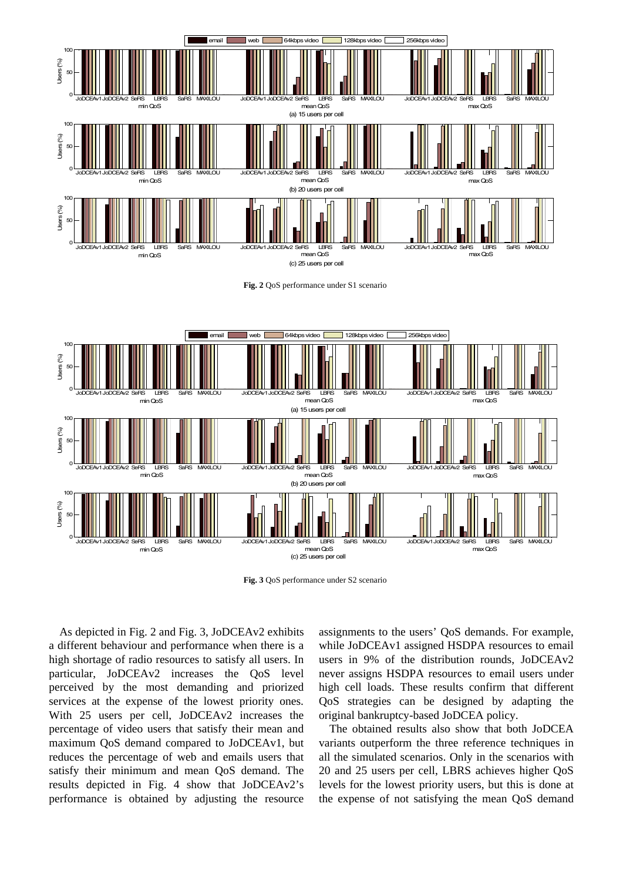

**Fig. 3** QoS performance under S2 scenario

As depicted in Fig. 2 and Fig. 3, JoDCEAv2 exhibits a different behaviour and performance when there is a high shortage of radio resources to satisfy all users. In particular, JoDCEAv2 increases the QoS level perceived by the most demanding and priorized services at the expense of the lowest priority ones. With 25 users per cell, JoDCEAv2 increases the percentage of video users that satisfy their mean and maximum QoS demand compared to JoDCEAv1, but reduces the percentage of web and emails users that satisfy their minimum and mean QoS demand. The results depicted in Fig. 4 show that JoDCEAv2's performance is obtained by adjusting the resource

assignments to the users' QoS demands. For example, while JoDCEAv1 assigned HSDPA resources to email users in 9% of the distribution rounds, JoDCEAv2 never assigns HSDPA resources to email users under high cell loads. These results confirm that different QoS strategies can be designed by adapting the original bankruptcy-based JoDCEA policy.

The obtained results also show that both JoDCEA variants outperform the three reference techniques in all the simulated scenarios. Only in the scenarios with 20 and 25 users per cell, LBRS achieves higher QoS levels for the lowest priority users, but this is done at the expense of not satisfying the mean QoS demand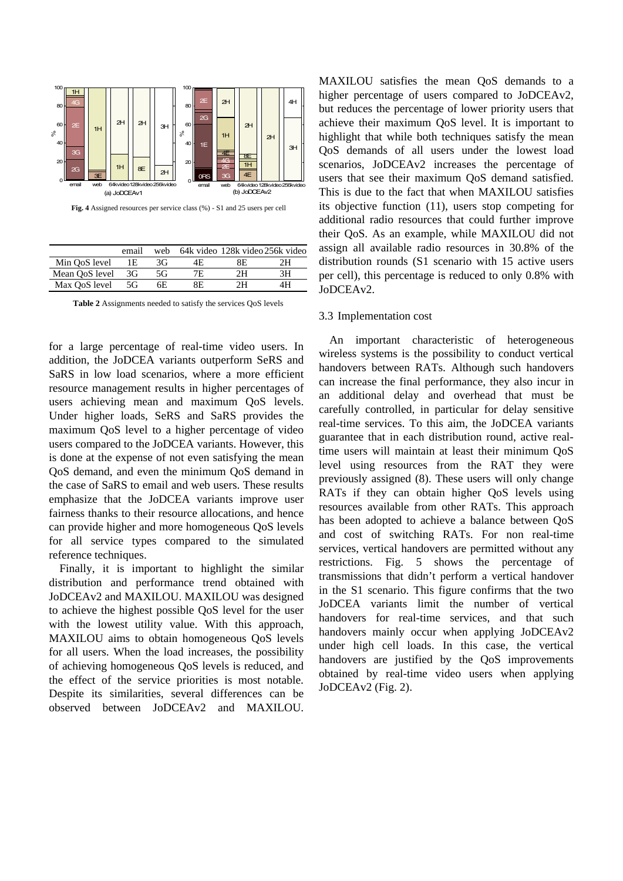

**Fig. 4** Assigned resources per service class (%) - S1 and 25 users per cell

|                | email | web |     |    | 64k video 128k video 256k video |
|----------------|-------|-----|-----|----|---------------------------------|
| Min OoS level  | 1E.   | 3G  | 4E. | 8E | 2H                              |
| Mean OoS level | 3G    | 5G  | 7Е  | 2H | ЗH                              |
| Max OoS level  | - 5G  | 6E. | 8Е. | 2Н | 4H                              |

**Table 2** Assignments needed to satisfy the services QoS levels

for a large percentage of real-time video users. In addition, the JoDCEA variants outperform SeRS and SaRS in low load scenarios, where a more efficient resource management results in higher percentages of users achieving mean and maximum QoS levels. Under higher loads, SeRS and SaRS provides the maximum QoS level to a higher percentage of video users compared to the JoDCEA variants. However, this is done at the expense of not even satisfying the mean QoS demand, and even the minimum QoS demand in the case of SaRS to email and web users. These results emphasize that the JoDCEA variants improve user fairness thanks to their resource allocations, and hence can provide higher and more homogeneous QoS levels for all service types compared to the simulated reference techniques.

Finally, it is important to highlight the similar distribution and performance trend obtained with JoDCEAv2 and MAXILOU. MAXILOU was designed to achieve the highest possible QoS level for the user with the lowest utility value. With this approach, MAXILOU aims to obtain homogeneous QoS levels for all users. When the load increases, the possibility of achieving homogeneous QoS levels is reduced, and the effect of the service priorities is most notable. Despite its similarities, several differences can be observed between JoDCEAv2 and MAXILOU.

MAXILOU satisfies the mean QoS demands to a higher percentage of users compared to JoDCEAv2, but reduces the percentage of lower priority users that achieve their maximum QoS level. It is important to highlight that while both techniques satisfy the mean QoS demands of all users under the lowest load scenarios, JoDCEAv2 increases the percentage of users that see their maximum QoS demand satisfied. This is due to the fact that when MAXILOU satisfies its objective function (11), users stop competing for additional radio resources that could further improve their QoS. As an example, while MAXILOU did not assign all available radio resources in 30.8% of the distribution rounds (S1 scenario with 15 active users per cell), this percentage is reduced to only 0.8% with JoDCEAv2.

#### 3.3 Implementation cost

An important characteristic of heterogeneous wireless systems is the possibility to conduct vertical handovers between RATs. Although such handovers can increase the final performance, they also incur in an additional delay and overhead that must be carefully controlled, in particular for delay sensitive real-time services. To this aim, the JoDCEA variants guarantee that in each distribution round, active realtime users will maintain at least their minimum QoS level using resources from the RAT they were previously assigned (8). These users will only change RATs if they can obtain higher QoS levels using resources available from other RATs. This approach has been adopted to achieve a balance between QoS and cost of switching RATs. For non real-time services, vertical handovers are permitted without any restrictions. Fig. 5 shows the percentage of transmissions that didn't perform a vertical handover in the S1 scenario. This figure confirms that the two JoDCEA variants limit the number of vertical handovers for real-time services, and that such handovers mainly occur when applying JoDCEAv2 under high cell loads. In this case, the vertical handovers are justified by the QoS improvements obtained by real-time video users when applying JoDCEAv2 (Fig. 2).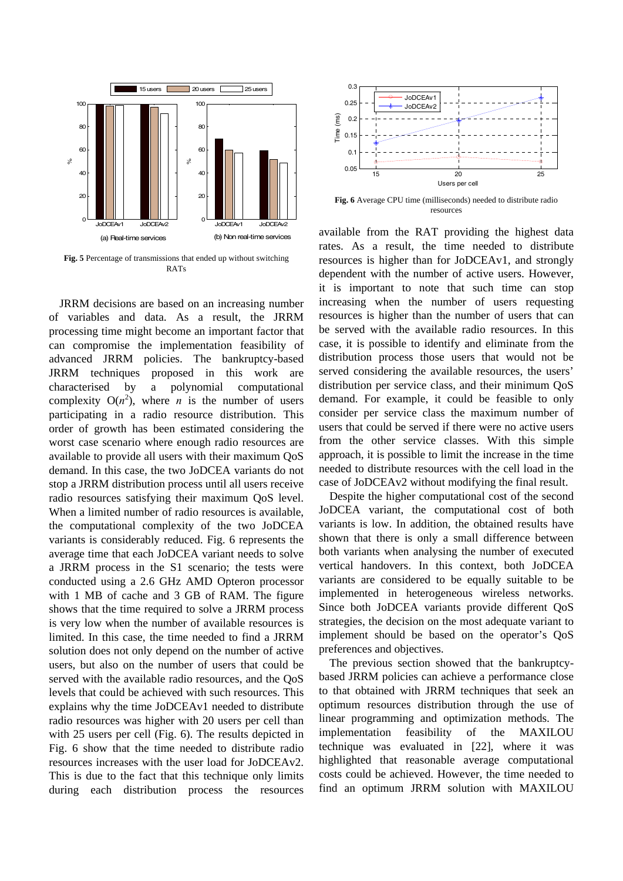

**Fig. 5** Percentage of transmissions that ended up without switching RATs

JRRM decisions are based on an increasing number of variables and data. As a result, the JRRM processing time might become an important factor that can compromise the implementation feasibility of advanced JRRM policies. The bankruptcy-based JRRM techniques proposed in this work are characterised by a polynomial computational complexity  $O(n^2)$ , where *n* is the number of users participating in a radio resource distribution. This order of growth has been estimated considering the worst case scenario where enough radio resources are available to provide all users with their maximum QoS demand. In this case, the two JoDCEA variants do not stop a JRRM distribution process until all users receive radio resources satisfying their maximum QoS level. When a limited number of radio resources is available. the computational complexity of the two JoDCEA variants is considerably reduced. Fig. 6 represents the average time that each JoDCEA variant needs to solve a JRRM process in the S1 scenario; the tests were conducted using a 2.6 GHz AMD Opteron processor with 1 MB of cache and 3 GB of RAM. The figure shows that the time required to solve a JRRM process is very low when the number of available resources is limited. In this case, the time needed to find a JRRM solution does not only depend on the number of active users, but also on the number of users that could be served with the available radio resources, and the QoS levels that could be achieved with such resources. This explains why the time JoDCEAv1 needed to distribute radio resources was higher with 20 users per cell than with 25 users per cell (Fig. 6). The results depicted in Fig. 6 show that the time needed to distribute radio resources increases with the user load for JoDCEAv2. This is due to the fact that this technique only limits during each distribution process the resources



**Fig. 6** Average CPU time (milliseconds) needed to distribute radio resources

available from the RAT providing the highest data rates. As a result, the time needed to distribute resources is higher than for JoDCEAv1, and strongly dependent with the number of active users. However, it is important to note that such time can stop increasing when the number of users requesting resources is higher than the number of users that can be served with the available radio resources. In this case, it is possible to identify and eliminate from the distribution process those users that would not be served considering the available resources, the users' distribution per service class, and their minimum QoS demand. For example, it could be feasible to only consider per service class the maximum number of users that could be served if there were no active users from the other service classes. With this simple approach, it is possible to limit the increase in the time needed to distribute resources with the cell load in the case of JoDCEAv2 without modifying the final result.

Despite the higher computational cost of the second JoDCEA variant, the computational cost of both variants is low. In addition, the obtained results have shown that there is only a small difference between both variants when analysing the number of executed vertical handovers. In this context, both JoDCEA variants are considered to be equally suitable to be implemented in heterogeneous wireless networks. Since both JoDCEA variants provide different QoS strategies, the decision on the most adequate variant to implement should be based on the operator's QoS preferences and objectives.

The previous section showed that the bankruptcybased JRRM policies can achieve a performance close to that obtained with JRRM techniques that seek an optimum resources distribution through the use of linear programming and optimization methods. The implementation feasibility of the MAXILOU technique was evaluated in [22], where it was highlighted that reasonable average computational costs could be achieved. However, the time needed to find an optimum JRRM solution with MAXILOU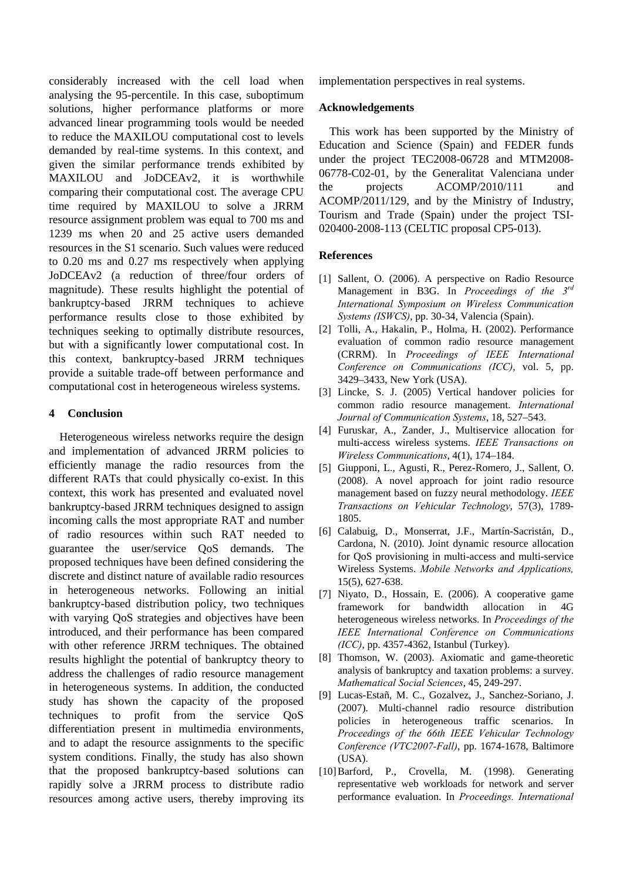considerably increased with the cell load when analysing the 95-percentile. In this case, suboptimum solutions, higher performance platforms or more advanced linear programming tools would be needed to reduce the MAXILOU computational cost to levels demanded by real-time systems. In this context, and given the similar performance trends exhibited by MAXILOU and JoDCEAv2, it is worthwhile comparing their computational cost. The average CPU time required by MAXILOU to solve a JRRM resource assignment problem was equal to 700 ms and 1239 ms when 20 and 25 active users demanded resources in the S1 scenario. Such values were reduced to 0.20 ms and 0.27 ms respectively when applying JoDCEAv2 (a reduction of three/four orders of magnitude). These results highlight the potential of bankruptcy-based JRRM techniques to achieve performance results close to those exhibited by techniques seeking to optimally distribute resources, but with a significantly lower computational cost. In this context, bankruptcy-based JRRM techniques provide a suitable trade-off between performance and computational cost in heterogeneous wireless systems.

## **4 Conclusion**

Heterogeneous wireless networks require the design and implementation of advanced JRRM policies to efficiently manage the radio resources from the different RATs that could physically co-exist. In this context, this work has presented and evaluated novel bankruptcy-based JRRM techniques designed to assign incoming calls the most appropriate RAT and number of radio resources within such RAT needed to guarantee the user/service QoS demands. The proposed techniques have been defined considering the discrete and distinct nature of available radio resources in heterogeneous networks. Following an initial bankruptcy-based distribution policy, two techniques with varying QoS strategies and objectives have been introduced, and their performance has been compared with other reference JRRM techniques. The obtained results highlight the potential of bankruptcy theory to address the challenges of radio resource management in heterogeneous systems. In addition, the conducted study has shown the capacity of the proposed techniques to profit from the service QoS differentiation present in multimedia environments, and to adapt the resource assignments to the specific system conditions. Finally, the study has also shown that the proposed bankruptcy-based solutions can rapidly solve a JRRM process to distribute radio resources among active users, thereby improving its

implementation perspectives in real systems.

## **Acknowledgements**

This work has been supported by the Ministry of Education and Science (Spain) and FEDER funds under the project TEC2008-06728 and MTM2008- 06778-C02-01, by the Generalitat Valenciana under the projects ACOMP/2010/111 and ACOMP/2011/129, and by the Ministry of Industry, Tourism and Trade (Spain) under the project TSI-020400-2008-113 (CELTIC proposal CP5-013).

## **References**

- [1] Sallent, O. (2006). A perspective on Radio Resource Management in B3G. In *Proceedings of the 3rd International Symposium on Wireless Communication Systems (ISWCS)*, pp. 30-34, Valencia (Spain).
- [2] Tolli, A., Hakalin, P., Holma, H. (2002). Performance evaluation of common radio resource management (CRRM). In *Proceedings of IEEE International Conference on Communications (ICC)*, vol. 5, pp. 3429–3433, New York (USA).
- [3] Lincke, S. J. (2005) Vertical handover policies for common radio resource management. *International Journal of Communication Systems*, 18, 527–543.
- [4] Furuskar, A., Zander, J., Multiservice allocation for multi-access wireless systems. *IEEE Transactions on Wireless Communications*, 4(1), 174–184.
- [5] Giupponi, L., Agusti, R., Perez-Romero, J., Sallent, O. (2008). A novel approach for joint radio resource management based on fuzzy neural methodology. *IEEE Transactions on Vehicular Technology*, 57(3), 1789- 1805.
- [6] Calabuig, D., Monserrat, J.F., Martín-Sacristán, D., Cardona, N. (2010). Joint dynamic resource allocation for QoS provisioning in multi-access and multi-service Wireless Systems. *Mobile Networks and Applications,* 15(5), 627-638.
- [7] Niyato, D., Hossain, E. (2006). A cooperative game framework for bandwidth allocation in 4G heterogeneous wireless networks. In *Proceedings of the IEEE International Conference on Communications (ICC)*, pp. 4357-4362, Istanbul (Turkey).
- [8] Thomson, W. (2003). Axiomatic and game-theoretic analysis of bankruptcy and taxation problems: a survey. *Mathematical Social Sciences*, 45, 249-297.
- [9] Lucas-Estañ, M. C., Gozalvez, J., Sanchez-Soriano, J. (2007). Multi-channel radio resource distribution policies in heterogeneous traffic scenarios. In *Proceedings of the 66th IEEE Vehicular Technology Conference (VTC2007-Fall)*, pp. 1674-1678, Baltimore (USA).
- [10]Barford, P., Crovella, M. (1998). Generating representative web workloads for network and server performance evaluation. In *Proceedings. International*